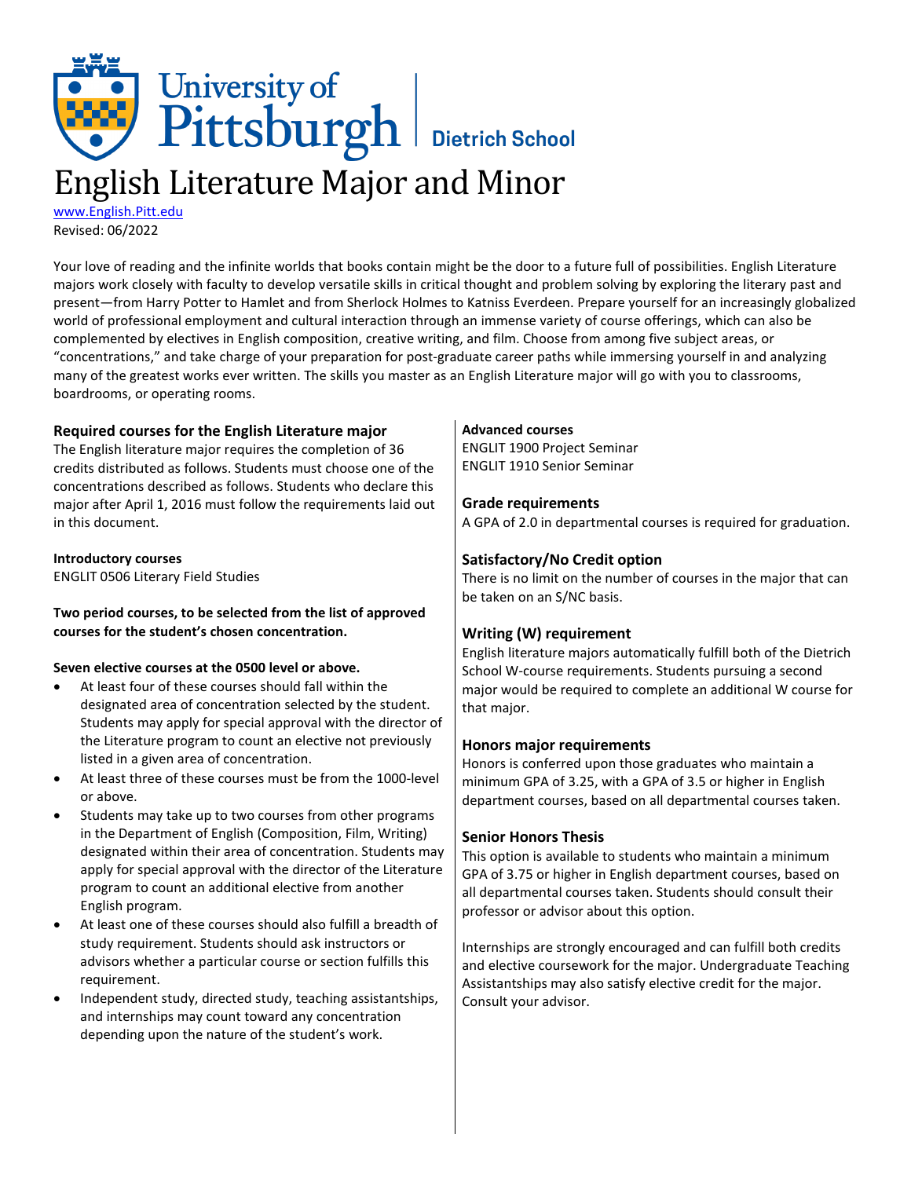# University of<br>Pittsburgh Bietrich School English Literature Major and Minor

[www.English.Pitt.edu](http://www.english.pitt.edu/) Revised: 06/2022

Your love of reading and the infinite worlds that books contain might be the door to a future full of possibilities. English Literature majors work closely with faculty to develop versatile skills in critical thought and problem solving by exploring the literary past and present—from Harry Potter to Hamlet and from Sherlock Holmes to Katniss Everdeen. Prepare yourself for an increasingly globalized world of professional employment and cultural interaction through an immense variety of course offerings, which can also be complemented by electives in English composition, creative writing, and film. Choose from among five subject areas, or "concentrations," and take charge of your preparation for post-graduate career paths while immersing yourself in and analyzing many of the greatest works ever written. The skills you master as an English Literature major will go with you to classrooms, boardrooms, or operating rooms.

## **Required courses for the English Literature major**

The English literature major requires the completion of 36 credits distributed as follows. Students must choose one of the concentrations described as follows. Students who declare this major after April 1, 2016 must follow the requirements laid out in this document.

### **Introductory courses**

ENGLIT 0506 Literary Field Studies

## **Two period courses, to be selected from the list of approved courses for the student's chosen concentration.**

### **Seven elective courses at the 0500 level or above.**

- At least four of these courses should fall within the designated area of concentration selected by the student. Students may apply for special approval with the director of the Literature program to count an elective not previously listed in a given area of concentration.
- At least three of these courses must be from the 1000-level or above.
- Students may take up to two courses from other programs in the Department of English (Composition, Film, Writing) designated within their area of concentration. Students may apply for special approval with the director of the Literature program to count an additional elective from another English program.
- At least one of these courses should also fulfill a breadth of study requirement. Students should ask instructors or advisors whether a particular course or section fulfills this requirement.
- Independent study, directed study, teaching assistantships, and internships may count toward any concentration depending upon the nature of the student's work.

### **Advanced courses**

ENGLIT 1900 Project Seminar ENGLIT 1910 Senior Seminar

## **Grade requirements**

A GPA of 2.0 in departmental courses is required for graduation.

## **Satisfactory/No Credit option**

There is no limit on the number of courses in the major that can be taken on an S/NC basis.

## **Writing (W) requirement**

English literature majors automatically fulfill both of the Dietrich School W-course requirements. Students pursuing a second major would be required to complete an additional W course for that major.

## **Honors major requirements**

Honors is conferred upon those graduates who maintain a minimum GPA of 3.25, with a GPA of 3.5 or higher in English department courses, based on all departmental courses taken.

## **Senior Honors Thesis**

This option is available to students who maintain a minimum GPA of 3.75 or higher in English department courses, based on all departmental courses taken. Students should consult their professor or advisor about this option.

Internships are strongly encouraged and can fulfill both credits and elective coursework for the major. Undergraduate Teaching Assistantships may also satisfy elective credit for the major. Consult your advisor.